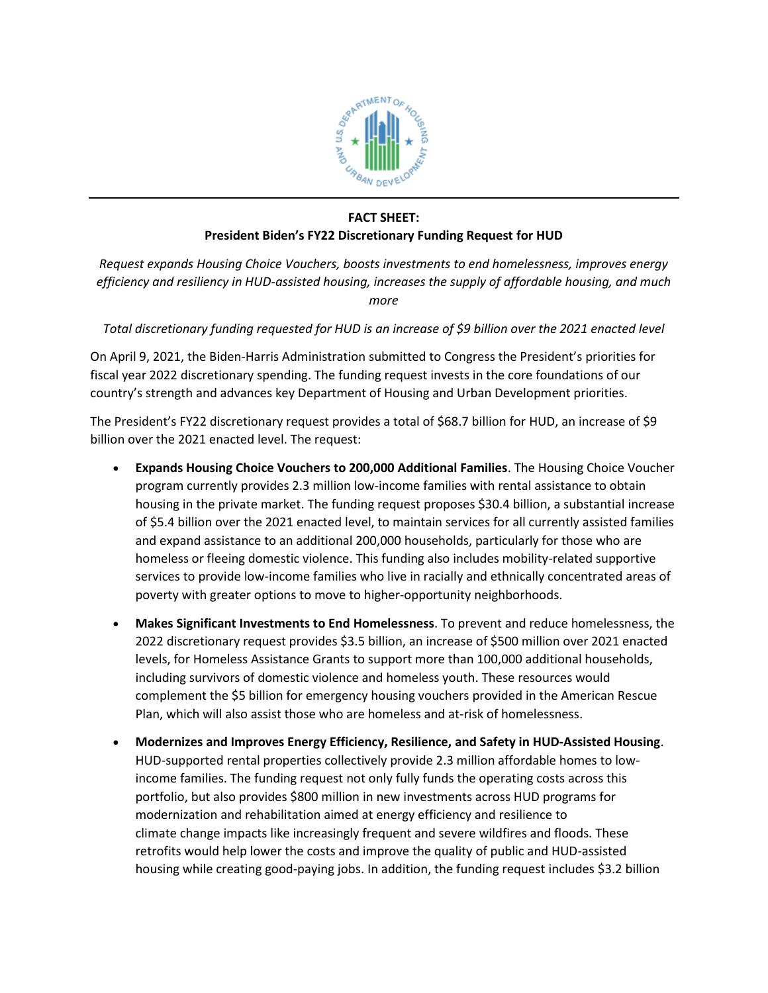

## **FACT SHEET:**

## **President Biden's FY22 Discretionary Funding Request for HUD**

*Request expands Housing Choice Vouchers, boosts investments to end homelessness, improves energy efficiency and resiliency in HUD-assisted housing, increases the supply of affordable housing, and much more*

*Total discretionary funding requested for HUD is an increase of \$9 billion over the 2021 enacted level*

On April 9, 2021, the Biden-Harris Administration submitted to Congress the President's priorities for fiscal year 2022 discretionary spending. The funding request invests in the core foundations of our country's strength and advances key Department of Housing and Urban Development priorities.

The President's FY22 discretionary request provides a total of \$68.7 billion for HUD, an increase of \$9 billion over the 2021 enacted level. The request:

- **Expands Housing Choice Vouchers to 200,000 Additional Families**. The Housing Choice Voucher program currently provides 2.3 million low-income families with rental assistance to obtain housing in the private market. The funding request proposes \$30.4 billion, a substantial increase of \$5.4 billion over the 2021 enacted level, to maintain services for all currently assisted families and expand assistance to an additional 200,000 households, particularly for those who are homeless or fleeing domestic violence. This funding also includes mobility-related supportive services to provide low-income families who live in racially and ethnically concentrated areas of poverty with greater options to move to higher-opportunity neighborhoods.
- **Makes Significant Investments to End Homelessness**. To prevent and reduce homelessness, the 2022 discretionary request provides \$3.5 billion, an increase of \$500 million over 2021 enacted levels, for Homeless Assistance Grants to support more than 100,000 additional households, including survivors of domestic violence and homeless youth. These resources would complement the \$5 billion for emergency housing vouchers provided in the American Rescue Plan, which will also assist those who are homeless and at-risk of homelessness.
- **Modernizes and Improves Energy Efficiency, Resilience, and Safety in HUD-Assisted Housing**. HUD-supported rental properties collectively provide 2.3 million affordable homes to lowincome families. The funding request not only fully funds the operating costs across this portfolio, but also provides \$800 million in new investments across HUD programs for modernization and rehabilitation aimed at energy efficiency and resilience to climate change impacts like increasingly frequent and severe wildfires and floods. These retrofits would help lower the costs and improve the quality of public and HUD-assisted housing while creating good-paying jobs. In addition, the funding request includes \$3.2 billion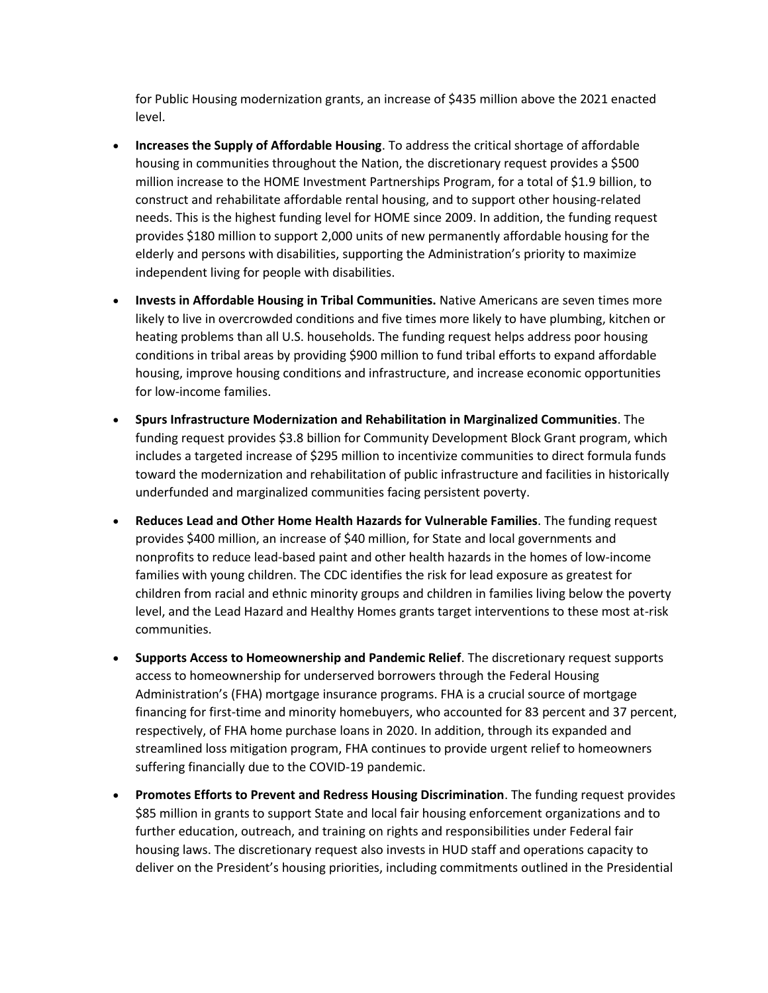for Public Housing modernization grants, an increase of \$435 million above the 2021 enacted level.

- **Increases the Supply of Affordable Housing**. To address the critical shortage of affordable housing in communities throughout the Nation, the discretionary request provides a \$500 million increase to the HOME Investment Partnerships Program, for a total of \$1.9 billion, to construct and rehabilitate affordable rental housing, and to support other housing-related needs. This is the highest funding level for HOME since 2009. In addition, the funding request provides \$180 million to support 2,000 units of new permanently affordable housing for the elderly and persons with disabilities, supporting the Administration's priority to maximize independent living for people with disabilities.
- **Invests in Affordable Housing in Tribal Communities.** Native Americans are seven times more likely to live in overcrowded conditions and five times more likely to have plumbing, kitchen or heating problems than all U.S. households. The funding request helps address poor housing conditions in tribal areas by providing \$900 million to fund tribal efforts to expand affordable housing, improve housing conditions and infrastructure, and increase economic opportunities for low-income families.
- **Spurs Infrastructure Modernization and Rehabilitation in Marginalized Communities**. The funding request provides \$3.8 billion for Community Development Block Grant program, which includes a targeted increase of \$295 million to incentivize communities to direct formula funds toward the modernization and rehabilitation of public infrastructure and facilities in historically underfunded and marginalized communities facing persistent poverty.
- **Reduces Lead and Other Home Health Hazards for Vulnerable Families**. The funding request provides \$400 million, an increase of \$40 million, for State and local governments and nonprofits to reduce lead-based paint and other health hazards in the homes of low-income families with young children. The CDC identifies the risk for lead exposure as greatest for children from racial and ethnic minority groups and children in families living below the poverty level, and the Lead Hazard and Healthy Homes grants target interventions to these most at-risk communities.
- **Supports Access to Homeownership and Pandemic Relief**. The discretionary request supports access to homeownership for underserved borrowers through the Federal Housing Administration's (FHA) mortgage insurance programs. FHA is a crucial source of mortgage financing for first-time and minority homebuyers, who accounted for 83 percent and 37 percent, respectively, of FHA home purchase loans in 2020. In addition, through its expanded and streamlined loss mitigation program, FHA continues to provide urgent relief to homeowners suffering financially due to the COVID-19 pandemic.
- **Promotes Efforts to Prevent and Redress Housing Discrimination**. The funding request provides \$85 million in grants to support State and local fair housing enforcement organizations and to further education, outreach, and training on rights and responsibilities under Federal fair housing laws. The discretionary request also invests in HUD staff and operations capacity to deliver on the President's housing priorities, including commitments outlined in the Presidential